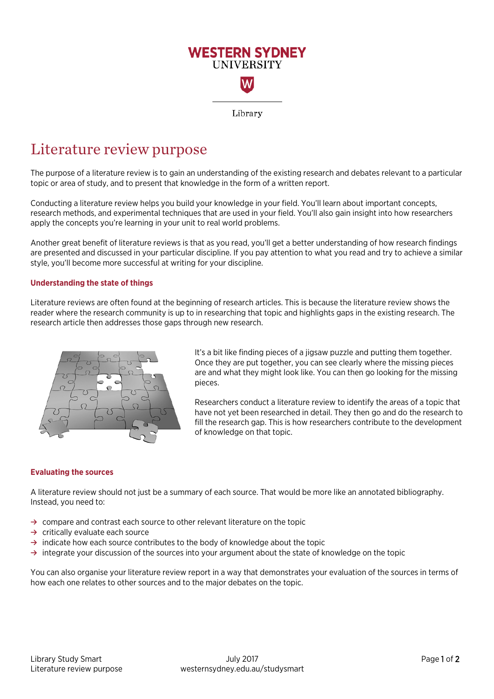

# Literature review purpose

The purpose of a literature review is to gain an understanding of the existing research and debates relevant to a particular topic or area of study, and to present that knowledge in the form of a written report.

Conducting a literature review helps you build your knowledge in your field. You'll learn about important concepts, research methods, and experimental techniques that are used in your field. You'll also gain insight into how researchers apply the concepts you're learning in your unit to real world problems.

Another great benefit of literature reviews is that as you read, you'll get a better understanding of how research findings are presented and discussed in your particular discipline. If you pay attention to what you read and try to achieve a similar style, you'll become more successful at writing for your discipline.

### **Understanding the state of things**

Literature reviews are often found at the beginning of research articles. This is because the literature review shows the reader where the research community is up to in researching that topic and highlights gaps in the existing research. The research article then addresses those gaps through new research.



It's a bit like finding pieces of a jigsaw puzzle and putting them together. Once they are put together, you can see clearly where the missing pieces are and what they might look like. You can then go looking for the missing pieces.

Researchers conduct a literature review to identify the areas of a topic that have not yet been researched in detail. They then go and do the research to fill the research gap. This is how researchers contribute to the development of knowledge on that topic.

#### **Evaluating the sources**

A literature review should not just be a summary of each source. That would be more like an annotated bibliography. Instead, you need to:

- **→** compare and contrast each source to other relevant literature on the topic
- **→** critically evaluate each source
- **→** indicate how each source contributes to the body of knowledge about the topic
- **→** integrate your discussion of the sources into your argument about the state of knowledge on the topic

You can also organise your literature review report in a way that demonstrates your evaluation of the sources in terms of how each one relates to other sources and to the major debates on the topic.